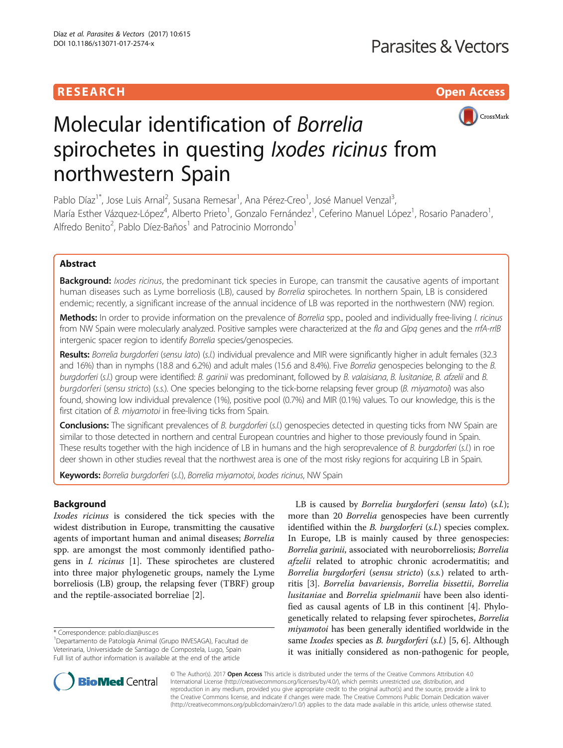# **RESEARCH CHILD CONTROL** CONTROL CONTROL CONTROL CONTROL CONTROL CONTROL CONTROL CONTROL CONTROL CONTROL CONTROL CONTROL CONTROL CONTROL CONTROL CONTROL CONTROL CONTROL CONTROL CONTROL CONTROL CONTROL CONTROL CONTROL CONTR



# Molecular identification of Borrelia spirochetes in questing *Ixodes ricinus* from northwestern Spain

Pablo Díaz<sup>1\*</sup>, Jose Luis Arnal<sup>2</sup>, Susana Remesar<sup>1</sup>, Ana Pérez-Creo<sup>1</sup>, José Manuel Venzal<sup>3</sup> , María Esther Vázquez-López<sup>4</sup>, Alberto Prieto<sup>1</sup>, Gonzalo Fernández<sup>1</sup>, Ceferino Manuel López<sup>1</sup>, Rosario Panadero<sup>1</sup> , Alfredo Benito<sup>2</sup>, Pablo Díez-Baños<sup>1</sup> and Patrocinio Morrondo<sup>1</sup>

# Abstract

Background: *Ixodes ricinus*, the predominant tick species in Europe, can transmit the causative agents of important human diseases such as Lyme borreliosis (LB), caused by Borrelia spirochetes. In northern Spain, LB is considered endemic; recently, a significant increase of the annual incidence of LB was reported in the northwestern (NW) region.

Methods: In order to provide information on the prevalence of Borrelia spp., pooled and individually free-living I. ricinus from NW Spain were molecularly analyzed. Positive samples were characterized at the fla and Glpq genes and the rrfA-rrlB intergenic spacer region to identify Borrelia species/genospecies.

Results: Borrelia burgdorferi (sensu lato) (s.l.) individual prevalence and MIR were significantly higher in adult females (32.3 and 16%) than in nymphs (18.8 and 6.2%) and adult males (15.6 and 8.4%). Five Borrelia genospecies belonging to the B. burgdorferi (s.l.) group were identified: B. garinii was predominant, followed by B. valaisiana, B. lusitaniae, B. afzelii and B. burgdorferi (sensu stricto) (s.s.). One species belonging to the tick-borne relapsing fever group (B. miyamotoi) was also found, showing low individual prevalence (1%), positive pool (0.7%) and MIR (0.1%) values. To our knowledge, this is the first citation of B. miyamotoi in free-living ticks from Spain.

Conclusions: The significant prevalences of B. burgdorferi (s.l.) genospecies detected in questing ticks from NW Spain are similar to those detected in northern and central European countries and higher to those previously found in Spain. These results together with the high incidence of LB in humans and the high seroprevalence of B. burgdorferi (s.l.) in roe deer shown in other studies reveal that the northwest area is one of the most risky regions for acquiring LB in Spain.

Keywords: Borrelia burgdorferi (s.l.), Borrelia miyamotoi, Ixodes ricinus, NW Spain

# **Background**

Ixodes ricinus is considered the tick species with the widest distribution in Europe, transmitting the causative agents of important human and animal diseases; Borrelia spp. are amongst the most commonly identified pathogens in I. ricinus [[1\]](#page-5-0). These spirochetes are clustered into three major phylogenetic groups, namely the Lyme borreliosis (LB) group, the relapsing fever (TBRF) group and the reptile-associated borreliae [\[2](#page-5-0)].

LB is caused by Borrelia burgdorferi (sensu lato) (s.l.); more than 20 Borrelia genospecies have been currently identified within the *B. burgdorferi* (s.l.) species complex. In Europe, LB is mainly caused by three genospecies: Borrelia garinii, associated with neuroborreliosis; Borrelia afzelii related to atrophic chronic acrodermatitis; and Borrelia burgdorferi (sensu stricto) (s.s.) related to arthritis [[3\]](#page-5-0). Borrelia bavariensis, Borrelia bissettii, Borrelia lusitaniae and Borrelia spielmanii have been also identified as causal agents of LB in this continent [[4\]](#page-5-0). Phylogenetically related to relapsing fever spirochetes, Borrelia miyamotoi has been generally identified worldwide in the same *Ixodes* species as *B. burgdorferi* (s.l.) [\[5, 6\]](#page-5-0). Although it was initially considered as non-pathogenic for people,



© The Author(s). 2017 **Open Access** This article is distributed under the terms of the Creative Commons Attribution 4.0 International License [\(http://creativecommons.org/licenses/by/4.0/](http://creativecommons.org/licenses/by/4.0/)), which permits unrestricted use, distribution, and reproduction in any medium, provided you give appropriate credit to the original author(s) and the source, provide a link to the Creative Commons license, and indicate if changes were made. The Creative Commons Public Domain Dedication waiver [\(http://creativecommons.org/publicdomain/zero/1.0/](http://creativecommons.org/publicdomain/zero/1.0/)) applies to the data made available in this article, unless otherwise stated.

<sup>\*</sup> Correspondence: [pablo.diaz@usc.es](mailto:pablo.diaz@usc.es) <sup>1</sup>

Departamento de Patología Animal (Grupo INVESAGA), Facultad de Veterinaria, Universidade de Santiago de Compostela, Lugo, Spain Full list of author information is available at the end of the article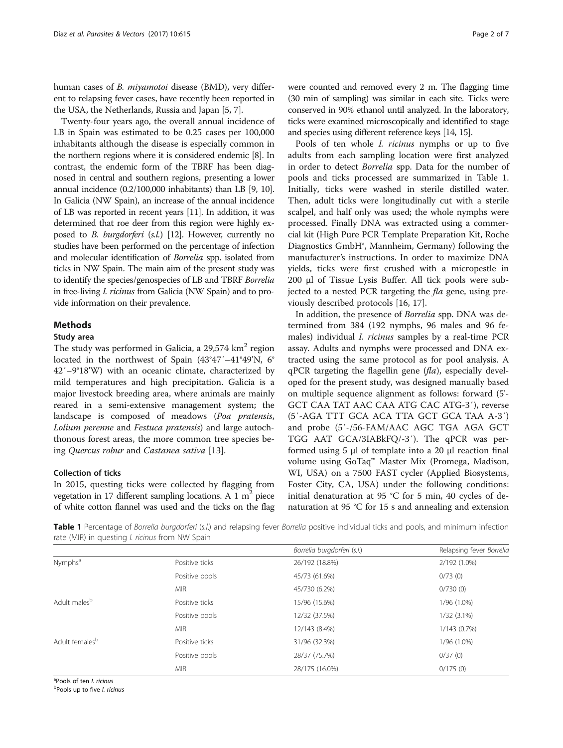<span id="page-1-0"></span>human cases of *B. miyamotoi* disease (BMD), very different to relapsing fever cases, have recently been reported in the USA, the Netherlands, Russia and Japan [[5, 7](#page-5-0)].

Twenty-four years ago, the overall annual incidence of LB in Spain was estimated to be 0.25 cases per 100,000 inhabitants although the disease is especially common in the northern regions where it is considered endemic [\[8](#page-5-0)]. In contrast, the endemic form of the TBRF has been diagnosed in central and southern regions, presenting a lower annual incidence (0.2/100,000 inhabitants) than LB [\[9, 10](#page-5-0)]. In Galicia (NW Spain), an increase of the annual incidence of LB was reported in recent years [[11](#page-5-0)]. In addition, it was determined that roe deer from this region were highly exposed to B. burgdorferi (s.l.) [\[12](#page-5-0)]. However, currently no studies have been performed on the percentage of infection and molecular identification of Borrelia spp. isolated from ticks in NW Spain. The main aim of the present study was to identify the species/genospecies of LB and TBRF Borrelia in free-living I. ricinus from Galicia (NW Spain) and to provide information on their prevalence.

# **Methods**

## Study area

The study was performed in Galicia, a 29,574 km<sup>2</sup> region located in the northwest of Spain (43°47′–41°49'N, 6° 42′–9°18'W) with an oceanic climate, characterized by mild temperatures and high precipitation. Galicia is a major livestock breeding area, where animals are mainly reared in a semi-extensive management system; the landscape is composed of meadows (Poa pratensis, Lolium perenne and Festuca pratensis) and large autochthonous forest areas, the more common tree species being Quercus robur and Castanea sativa [[13\]](#page-5-0).

## Collection of ticks

In 2015, questing ticks were collected by flagging from vegetation in 17 different sampling locations. A  $1 \text{ m}^2$  piece of white cotton flannel was used and the ticks on the flag

were counted and removed every 2 m. The flagging time (30 min of sampling) was similar in each site. Ticks were conserved in 90% ethanol until analyzed. In the laboratory, ticks were examined microscopically and identified to stage and species using different reference keys [[14](#page-5-0), [15](#page-5-0)].

Pools of ten whole *I. ricinus* nymphs or up to five adults from each sampling location were first analyzed in order to detect Borrelia spp. Data for the number of pools and ticks processed are summarized in Table 1. Initially, ticks were washed in sterile distilled water. Then, adult ticks were longitudinally cut with a sterile scalpel, and half only was used; the whole nymphs were processed. Finally DNA was extracted using a commercial kit (High Pure PCR Template Preparation Kit, Roche Diagnostics GmbH®, Mannheim, Germany) following the manufacturer's instructions. In order to maximize DNA yields, ticks were first crushed with a micropestle in 200 μl of Tissue Lysis Buffer. All tick pools were subjected to a nested PCR targeting the fla gene, using previously described protocols [[16, 17\]](#page-5-0).

In addition, the presence of Borrelia spp. DNA was determined from 384 (192 nymphs, 96 males and 96 females) individual *I. ricinus* samples by a real-time PCR assay. Adults and nymphs were processed and DNA extracted using the same protocol as for pool analysis. A  $qPCR$  targeting the flagellin gene (*fla*), especially developed for the present study, was designed manually based on multiple sequence alignment as follows: forward (5'- GCT CAA TAT AAC CAA ATG CAC ATG-3′), reverse (5′-AGA TTT GCA ACA TTA GCT GCA TAA A-3′) and probe (5′-/56-FAM/AAC AGC TGA AGA GCT TGG AAT GCA/3IABkFQ/-3′). The qPCR was performed using 5 μl of template into a 20 μl reaction final volume using GoTaq™ Master Mix (Promega, Madison, WI, USA) on a 7500 FAST cycler (Applied Biosystems, Foster City, CA, USA) under the following conditions: initial denaturation at 95 °C for 5 min, 40 cycles of denaturation at 95 °C for 15 s and annealing and extension

Table 1 Percentage of Borrelia burgdorferi (s.l.) and relapsing fever Borrelia positive individual ticks and pools, and minimum infection rate (MIR) in questing *I. ricinus* from NW Spain

|                            |                | Borrelia burgdorferi (s.l.) | Relapsing fever Borrelia |
|----------------------------|----------------|-----------------------------|--------------------------|
| Nymphs <sup>a</sup>        | Positive ticks | 26/192 (18.8%)              | 2/192 (1.0%)             |
|                            | Positive pools | 45/73 (61.6%)               | 0/73(0)                  |
|                            | <b>MIR</b>     | 45/730 (6.2%)               | 0/730(0)                 |
| Adult males <sup>b</sup>   | Positive ticks | 15/96 (15.6%)               | 1/96 (1.0%)              |
|                            | Positive pools | 12/32 (37.5%)               | $1/32(3.1\%)$            |
|                            | <b>MIR</b>     | 12/143 (8.4%)               | 1/143(0.7%)              |
| Adult females <sup>b</sup> | Positive ticks | 31/96 (32.3%)               | 1/96 (1.0%)              |
|                            | Positive pools | 28/37 (75.7%)               | 0/37(0)                  |
|                            | <b>MIR</b>     | 28/175 (16.0%)              | 0/175(0)                 |

<sup>a</sup>Pools of ten *I. ricinus*<br><sup>b</sup>Pools up to five Lric

<sup>b</sup>Pools up to five *l. ricinus*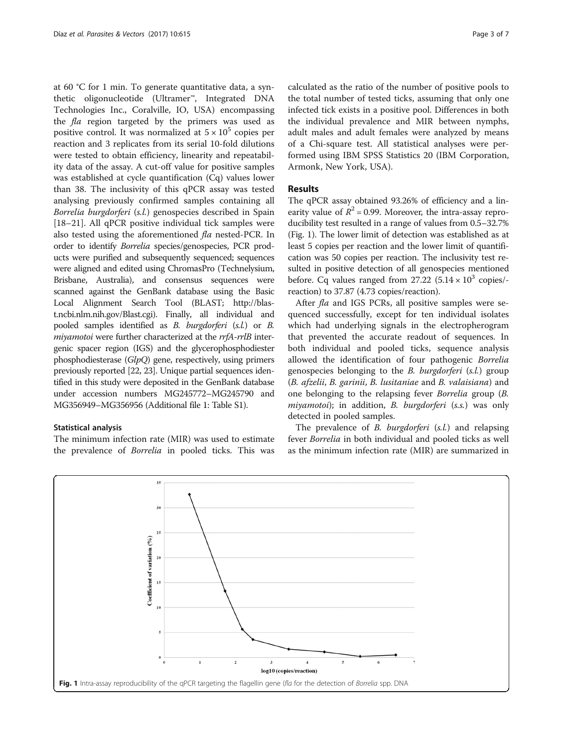at 60 °C for 1 min. To generate quantitative data, a synthetic oligonucleotide (Ultramer™, Integrated DNA Technologies Inc., Coralville, IO, USA) encompassing the *fla* region targeted by the primers was used as positive control. It was normalized at  $5 \times 10^5$  copies per reaction and 3 replicates from its serial 10-fold dilutions were tested to obtain efficiency, linearity and repeatability data of the assay. A cut-off value for positive samples was established at cycle quantification (Cq) values lower than 38. The inclusivity of this qPCR assay was tested analysing previously confirmed samples containing all Borrelia burgdorferi (s.l.) genospecies described in Spain [[18](#page-5-0)–[21](#page-5-0)]. All qPCR positive individual tick samples were also tested using the aforementioned fla nested-PCR. In order to identify Borrelia species/genospecies, PCR products were purified and subsequently sequenced; sequences were aligned and edited using ChromasPro (Technelysium, Brisbane, Australia), and consensus sequences were scanned against the GenBank database using the Basic Local Alignment Search Tool (BLAST; [http://blas](http://blast.ncbi.nlm.nih.gov/Blast.cgi)[t.ncbi.nlm.nih.gov/Blast.cgi\)](http://blast.ncbi.nlm.nih.gov/Blast.cgi). Finally, all individual and pooled samples identified as B. burgdorferi (s.l.) or B. miyamotoi were further characterized at the rrfA-rrlB intergenic spacer region (IGS) and the glycerophosphodiester phosphodiesterase (GlpQ) gene, respectively, using primers previously reported [\[22, 23\]](#page-5-0). Unique partial sequences identified in this study were deposited in the GenBank database under accession numbers MG245772–MG245790 and MG356949–MG356956 (Additional file [1:](#page-4-0) Table S1).

#### Statistical analysis

The minimum infection rate (MIR) was used to estimate the prevalence of Borrelia in pooled ticks. This was

calculated as the ratio of the number of positive pools to the total number of tested ticks, assuming that only one infected tick exists in a positive pool. Differences in both the individual prevalence and MIR between nymphs, adult males and adult females were analyzed by means of a Chi-square test. All statistical analyses were performed using IBM SPSS Statistics 20 (IBM Corporation, Armonk, New York, USA).

## Results

The qPCR assay obtained 93.26% of efficiency and a linearity value of  $R^2 = 0.99$ . Moreover, the intra-assay reproducibility test resulted in a range of values from 0.5–32.7% (Fig. 1). The lower limit of detection was established as at least 5 copies per reaction and the lower limit of quantification was 50 copies per reaction. The inclusivity test resulted in positive detection of all genospecies mentioned before. Cq values ranged from 27.22  $(5.14 \times 10^3 \text{ copies}/-)$ reaction) to 37.87 (4.73 copies/reaction).

After *fla* and IGS PCRs, all positive samples were sequenced successfully, except for ten individual isolates which had underlying signals in the electropherogram that prevented the accurate readout of sequences. In both individual and pooled ticks, sequence analysis allowed the identification of four pathogenic Borrelia genospecies belonging to the B. burgdorferi (s.l.) group (B. afzelii, B. garinii, B. lusitaniae and B. valaisiana) and one belonging to the relapsing fever Borrelia group (B. miyamotoi); in addition, B. burgdorferi (s.s.) was only detected in pooled samples.

The prevalence of *B. burgdorferi* (s.l.) and relapsing fever Borrelia in both individual and pooled ticks as well as the minimum infection rate (MIR) are summarized in

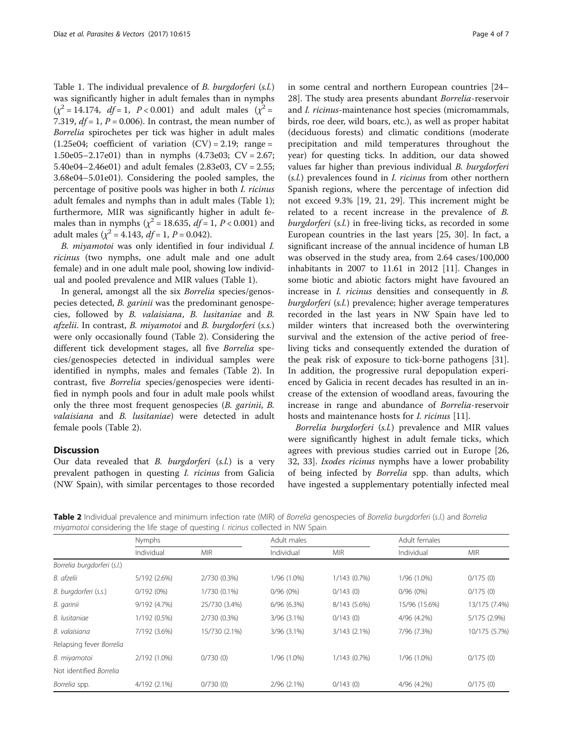Table [1](#page-1-0). The individual prevalence of B. burgdorferi (s.l.) was significantly higher in adult females than in nymphs  $(x^2 = 14.174, df = 1, P < 0.001)$  and adult males  $(x^2 = 14.174, df = 1)$ 7.319,  $df = 1$ ,  $P = 0.006$ ). In contrast, the mean number of Borrelia spirochetes per tick was higher in adult males  $(1.25e04;$  coefficient of variation  $(CV) = 2.19;$  range = 1.50e05–2.17e01) than in nymphs (4.73e03; CV = 2.67; 5.40e04–2.46e01) and adult females (2.83e03, CV = 2.55; 3.68e04–5.01e01). Considering the pooled samples, the percentage of positive pools was higher in both I. ricinus adult females and nymphs than in adult males (Table [1](#page-1-0)); furthermore, MIR was significantly higher in adult females than in nymphs ( $\chi^2$  = 18.635, df = 1, P < 0.001) and adult males ( $\chi^2$  = 4.143, *df* = 1, *P* = 0.042).

B. miyamotoi was only identified in four individual I. ricinus (two nymphs, one adult male and one adult female) and in one adult male pool, showing low individual and pooled prevalence and MIR values (Table [1](#page-1-0)).

In general, amongst all the six Borrelia species/genospecies detected, B. garinii was the predominant genospecies, followed by B. valaisiana, B. lusitaniae and B. afzelii. In contrast, B. miyamotoi and B. burgdorferi (s.s.) were only occasionally found (Table 2). Considering the different tick development stages, all five Borrelia species/genospecies detected in individual samples were identified in nymphs, males and females (Table 2). In contrast, five Borrelia species/genospecies were identified in nymph pools and four in adult male pools whilst only the three most frequent genospecies (B. garinii, B. valaisiana and B. lusitaniae) were detected in adult female pools (Table 2).

# **Discussion**

Our data revealed that B. burgdorferi (s.l.) is a very prevalent pathogen in questing I. ricinus from Galicia (NW Spain), with similar percentages to those recorded in some central and northern European countries [[24](#page-5-0)– [28\]](#page-5-0). The study area presents abundant Borrelia-reservoir and I. ricinus-maintenance host species (micromammals, birds, roe deer, wild boars, etc.), as well as proper habitat (deciduous forests) and climatic conditions (moderate precipitation and mild temperatures throughout the year) for questing ticks. In addition, our data showed values far higher than previous individual B. burgdorferi (s.l.) prevalences found in I. ricinus from other northern Spanish regions, where the percentage of infection did not exceed 9.3% [[19, 21, 29](#page-5-0)]. This increment might be related to a recent increase in the prevalence of B. burgdorferi (s.l.) in free-living ticks, as recorded in some European countries in the last years [[25,](#page-5-0) [30\]](#page-6-0). In fact, a significant increase of the annual incidence of human LB was observed in the study area, from 2.64 cases/100,000 inhabitants in 2007 to 11.61 in 2012 [\[11](#page-5-0)]. Changes in some biotic and abiotic factors might have favoured an increase in I. ricinus densities and consequently in B. burgdorferi (s.l.) prevalence; higher average temperatures recorded in the last years in NW Spain have led to milder winters that increased both the overwintering survival and the extension of the active period of freeliving ticks and consequently extended the duration of the peak risk of exposure to tick-borne pathogens [\[31](#page-6-0)]. In addition, the progressive rural depopulation experienced by Galicia in recent decades has resulted in an increase of the extension of woodland areas, favouring the increase in range and abundance of Borrelia-reservoir hosts and maintenance hosts for *I. ricinus* [[11](#page-5-0)].

Borrelia burgdorferi (s.l.) prevalence and MIR values were significantly highest in adult female ticks, which agrees with previous studies carried out in Europe [[26](#page-5-0), [32, 33\]](#page-6-0). Ixodes ricinus nymphs have a lower probability of being infected by Borrelia spp. than adults, which have ingested a supplementary potentially infected meal

**Table 2** Individual prevalence and minimum infection rate (MIR) of Borrelia genospecies of Borrelia burgdorferi (s.l.) and Borrelia<br>mixematei considering the life stage of questing *L risinus* cellected in NIM Spain. miyamotoi considering the life stage of questing *I. ricinus* collected in NW Spain

| <i>THYQITIOLOI</i> CONSIQUING the file stage of questing <i>I. HCINUS</i> COIFECTURE IN NW Spain |               |               |                  |              |               |               |  |  |
|--------------------------------------------------------------------------------------------------|---------------|---------------|------------------|--------------|---------------|---------------|--|--|
|                                                                                                  | <b>Nymphs</b> |               | Adult males      |              | Adult females |               |  |  |
|                                                                                                  | Individual    | <b>MIR</b>    | Individual       | <b>MIR</b>   | Individual    | <b>MIR</b>    |  |  |
| Borrelia burgdorferi (s.l.)                                                                      |               |               |                  |              |               |               |  |  |
| B. afzelii                                                                                       | 5/192 (2.6%)  | 2/730 (0.3%)  | 1/96 (1.0%)      | 1/143 (0.7%) | 1/96 (1.0%)   | 0/175(0)      |  |  |
| B. burgdorferi (s.s.)                                                                            | 0/192(0%)     | 1/730 (0.1%)  | $0/96(0\%)$      | 0/143(0)     | $0/96(0\%)$   | 0/175(0)      |  |  |
| B. garinii                                                                                       | 9/192 (4.7%)  | 25/730 (3.4%) | $6/96(6.3\%)$    | 8/143 (5.6%) | 15/96 (15.6%) | 13/175 (7.4%) |  |  |
| B. lusitaniae                                                                                    | 1/192 (0.5%)  | 2/730 (0.3%)  | 3/96 (3.1%)      | 0/143(0)     | 4/96 (4.2%)   | 5/175 (2.9%)  |  |  |
| B. valaisiana                                                                                    | 7/192 (3.6%)  | 15/730 (2.1%) | $3/96$ $(3.1\%)$ | 3/143 (2.1%) | 7/96 (7.3%)   | 10/175 (5.7%) |  |  |
| Relapsing fever Borrelia                                                                         |               |               |                  |              |               |               |  |  |
| B. miyamotoi                                                                                     | 2/192 (1.0%)  | 0/730(0)      | 1/96 (1.0%)      | 1/143 (0.7%) | 1/96 (1.0%)   | 0/175(0)      |  |  |
| Not identified Borrelia                                                                          |               |               |                  |              |               |               |  |  |
| Borrelia spp.                                                                                    | 4/192 (2.1%)  | 0/730(0)      | $2/96$ $(2.1\%)$ | 0/143(0)     | 4/96 (4.2%)   | 0/175(0)      |  |  |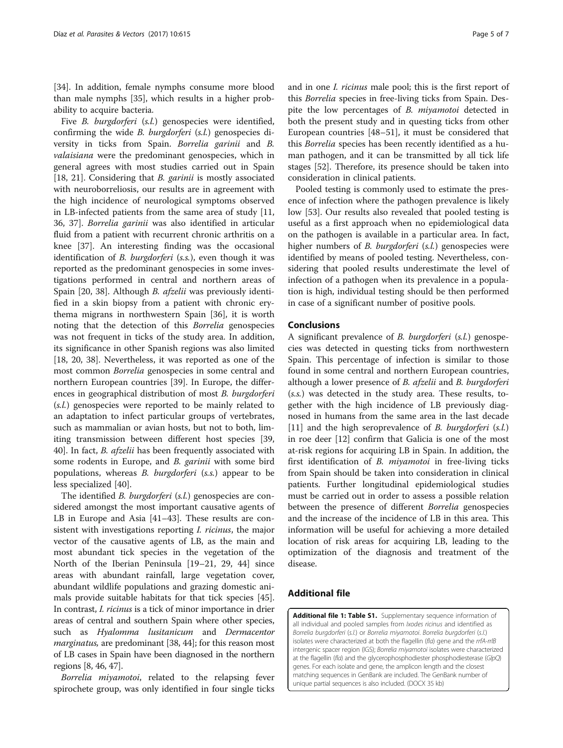<span id="page-4-0"></span>[[34\]](#page-6-0). In addition, female nymphs consume more blood than male nymphs [\[35\]](#page-6-0), which results in a higher probability to acquire bacteria.

Five *B. burgdorferi* (*s.l.*) genospecies were identified, confirming the wide B. burgdorferi (s.l.) genospecies diversity in ticks from Spain. Borrelia garinii and B. valaisiana were the predominant genospecies, which in general agrees with most studies carried out in Spain [[18, 21](#page-5-0)]. Considering that *B. garinii* is mostly associated with neuroborreliosis, our results are in agreement with the high incidence of neurological symptoms observed in LB-infected patients from the same area of study [[11](#page-5-0), [36, 37\]](#page-6-0). Borrelia garinii was also identified in articular fluid from a patient with recurrent chronic arthritis on a knee [[37\]](#page-6-0). An interesting finding was the occasional identification of *B. burgdorferi* (s.s.), even though it was reported as the predominant genospecies in some investigations performed in central and northern areas of Spain [[20,](#page-5-0) [38\]](#page-6-0). Although *B. afzelii* was previously identified in a skin biopsy from a patient with chronic erythema migrans in northwestern Spain [[36](#page-6-0)], it is worth noting that the detection of this Borrelia genospecies was not frequent in ticks of the study area. In addition, its significance in other Spanish regions was also limited [[18, 20](#page-5-0), [38](#page-6-0)]. Nevertheless, it was reported as one of the most common Borrelia genospecies in some central and northern European countries [\[39](#page-6-0)]. In Europe, the differences in geographical distribution of most B. burgdorferi (s.l.) genospecies were reported to be mainly related to an adaptation to infect particular groups of vertebrates, such as mammalian or avian hosts, but not to both, limiting transmission between different host species [[39](#page-6-0), [40\]](#page-6-0). In fact, *B. afzelii* has been frequently associated with some rodents in Europe, and *B. garinii* with some bird populations, whereas B. burgdorferi (s.s.) appear to be less specialized [\[40\]](#page-6-0).

The identified *B. burgdorferi* (s.l.) genospecies are considered amongst the most important causative agents of LB in Europe and Asia [\[41](#page-6-0)–[43\]](#page-6-0). These results are consistent with investigations reporting *I. ricinus*, the major vector of the causative agents of LB, as the main and most abundant tick species in the vegetation of the North of the Iberian Peninsula [[19](#page-5-0)–[21, 29,](#page-5-0) [44](#page-6-0)] since areas with abundant rainfall, large vegetation cover, abundant wildlife populations and grazing domestic animals provide suitable habitats for that tick species [\[45](#page-6-0)]. In contrast, I. ricinus is a tick of minor importance in drier areas of central and southern Spain where other species, such as Hyalomma lusitanicum and Dermacentor marginatus, are predominant [\[38, 44](#page-6-0)]; for this reason most of LB cases in Spain have been diagnosed in the northern regions [\[8](#page-5-0), [46, 47\]](#page-6-0).

Borrelia miyamotoi, related to the relapsing fever spirochete group, was only identified in four single ticks and in one *I. ricinus* male pool; this is the first report of this Borrelia species in free-living ticks from Spain. Despite the low percentages of B. miyamotoi detected in both the present study and in questing ticks from other European countries [\[48](#page-6-0)–[51](#page-6-0)], it must be considered that this Borrelia species has been recently identified as a human pathogen, and it can be transmitted by all tick life stages [[52](#page-6-0)]. Therefore, its presence should be taken into consideration in clinical patients.

Pooled testing is commonly used to estimate the presence of infection where the pathogen prevalence is likely low [[53\]](#page-6-0). Our results also revealed that pooled testing is useful as a first approach when no epidemiological data on the pathogen is available in a particular area. In fact, higher numbers of *B. burgdorferi* (s.l.) genospecies were identified by means of pooled testing. Nevertheless, considering that pooled results underestimate the level of infection of a pathogen when its prevalence in a population is high, individual testing should be then performed in case of a significant number of positive pools.

# Conclusions

A significant prevalence of B. burgdorferi (s.l.) genospecies was detected in questing ticks from northwestern Spain. This percentage of infection is similar to those found in some central and northern European countries, although a lower presence of B. afzelii and B. burgdorferi (s.s.) was detected in the study area. These results, together with the high incidence of LB previously diagnosed in humans from the same area in the last decade [[11\]](#page-5-0) and the high seroprevalence of *B. burgdorferi* (s.l.) in roe deer [[12](#page-5-0)] confirm that Galicia is one of the most at-risk regions for acquiring LB in Spain. In addition, the first identification of B. miyamotoi in free-living ticks from Spain should be taken into consideration in clinical patients. Further longitudinal epidemiological studies must be carried out in order to assess a possible relation between the presence of different Borrelia genospecies and the increase of the incidence of LB in this area. This information will be useful for achieving a more detailed location of risk areas for acquiring LB, leading to the optimization of the diagnosis and treatment of the disease.

# Additional file

[Additional file 1: Table S1.](dx.doi.org/10.1186/s13071-017-2574-x) Supplementary sequence information of all individual and pooled samples from *lxodes ricinus* and identified as Borrelia burgdorferi (s.l.) or Borrelia miyamotoi. Borrelia burgdorferi (s.l.) isolates were characterized at both the flagellin (fla) gene and the rrfA-rrlB intergenic spacer region (IGS); Borrelia miyamotoi isolates were characterized at the flagellin (fla) and the glycerophosphodiester phosphodiesterase (GlpQ) genes. For each isolate and gene, the amplicon length and the closest matching sequences in GenBank are included. The GenBank number of unique partial sequences is also included. (DOCX 35 kb)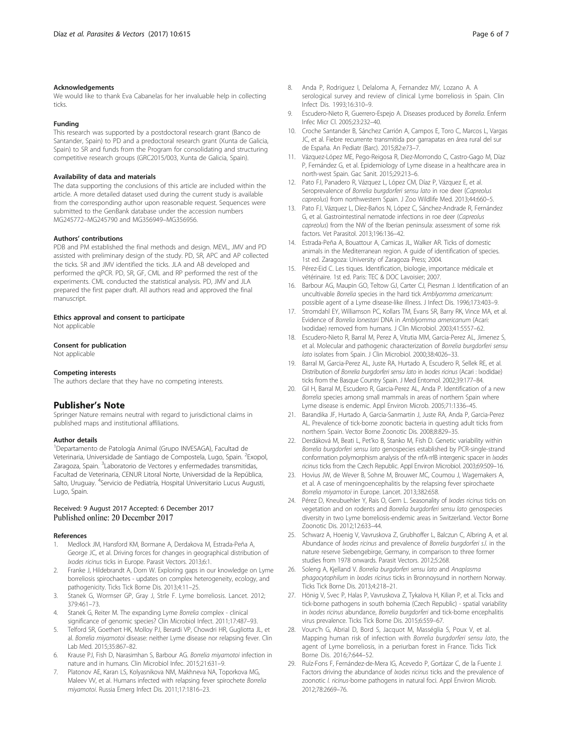#### <span id="page-5-0"></span>Acknowledgements

We would like to thank Eva Cabanelas for her invaluable help in collecting ticks.

#### Funding

This research was supported by a postdoctoral research grant (Banco de Santander, Spain) to PD and a predoctoral research grant (Xunta de Galicia, Spain) to SR and funds from the Program for consolidating and structuring competitive research groups (GRC2015/003, Xunta de Galicia, Spain).

#### Availability of data and materials

The data supporting the conclusions of this article are included within the article. A more detailed dataset used during the current study is available from the corresponding author upon reasonable request. Sequences were submitted to the GenBank database under the accession numbers MG245772–MG245790 and MG356949–MG356956.

#### Authors' contributions

PDB and PM established the final methods and design. MEVL, JMV and PD assisted with preliminary design of the study. PD, SR, APC and AP collected the ticks. SR and JMV identified the ticks. JLA and AB developed and performed the qPCR. PD, SR, GF, CML and RP performed the rest of the experiments. CML conducted the statistical analysis. PD, JMV and JLA prepared the first paper draft. All authors read and approved the final manuscript.

## Ethics approval and consent to participate

Not applicable

## Consent for publication

Not applicable

#### Competing interests

The authors declare that they have no competing interests.

#### Publisher's Note

Springer Nature remains neutral with regard to jurisdictional claims in published maps and institutional affiliations.

#### Author details

1 Departamento de Patología Animal (Grupo INVESAGA), Facultad de Veterinaria, Universidade de Santiago de Compostela, Lugo, Spain. <sup>2</sup>Exopol, Zaragoza, Spain. <sup>3</sup> Laboratorio de Vectores y enfermedades transmitidas, Facultad de Veterinaria, CENUR Litoral Norte, Universidad de la República, Salto, Uruguay. <sup>4</sup>Servicio de Pediatría, Hospital Universitario Lucus Augusti, Lugo, Spain.

#### Received: 9 August 2017 Accepted: 6 December 2017 Published online: 20 December 2017

#### References

- 1. Medlock JM, Hansford KM, Bormane A, Derdakova M, Estrada-Peña A, George JC, et al. Driving forces for changes in geographical distribution of Ixodes ricinus ticks in Europe. Parasit Vectors. 2013;6:1.
- 2. Franke J, Hildebrandt A, Dorn W. Exploring gaps in our knowledge on Lyme borreliosis spirochaetes - updates on complex heterogeneity, ecology, and pathogenicity. Ticks Tick Borne Dis. 2013;4:11–25.
- 3. Stanek G, Wormser GP, Gray J, Strle F. Lyme borreliosis. Lancet. 2012; 379:461–73.
- Stanek G, Reiter M. The expanding Lyme Borrelia complex clinical significance of genomic species? Clin Microbiol Infect. 2011;17:487–93.
- 5. Telford SR, Goethert HK, Molloy PJ, Berardi VP, Chowdri HR, Gugliotta JL, et al. Borrelia miyamotoi disease: neither Lyme disease nor relapsing fever. Clin Lab Med. 2015;35:867–82.
- 6. Krause PJ, Fish D, Narasimhan S, Barbour AG. Borrelia miyamotoi infection in nature and in humans. Clin Microbiol Infec. 2015;21:631–9.
- 7. Platonov AE, Karan LS, Kolyasnikova NM, Makhneva NA, Toporkova MG, Maleev VV, et al. Humans infected with relapsing fever spirochete Borrelia miyamotoi. Russia Emerg Infect Dis. 2011;17:1816–23.
- 8. Anda P, Rodriguez I, Delaloma A, Fernandez MV, Lozano A. A serological survey and review of clinical Lyme borreliosis in Spain. Clin Infect Dis. 1993;16:310–9.
- 9. Escudero-Nieto R, Guerrero-Espejo A. Diseases produced by Borrelia. Enferm Infec Micr Cl. 2005;23:232–40.
- 10. Croche Santander B, Sánchez Carrión A, Campos E, Toro C, Marcos L, Vargas JC, et al. Fiebre recurrente transmitida por garrapatas en área rural del sur de España. An Pediatr (Barc). 2015;82:e73–7.
- 11. Vázquez-López ME, Pego-Reigosa R, Diez-Morrondo C, Castro-Gago M, Díaz P, Fernández G, et al. Epidemiology of Lyme disease in a healthcare area in north-west Spain. Gac Sanit. 2015;29:213–6.
- 12. Pato FJ, Panadero R, Vázquez L, López CM, Díaz P, Vázquez E, et al. Seroprevalence of Borrelia burgdorferi sensu lato in roe deer (Capreolus capreolus) from northwestern Spain. J Zoo Wildlife Med. 2013;44:660–5.
- 13. Pato FJ, Vázquez L, Díez-Baños N, López C, Sánchez-Andrade R, Fernández G, et al. Gastrointestinal nematode infections in roe deer (Capreolus capreolus) from the NW of the Iberian peninsula: assessment of some risk factors. Vet Parasitol. 2013;196:136–42.
- 14. Estrada-Peña A, Bouattour A, Camicas JL, Walker AR. Ticks of domestic animals in the Mediterranean region. A guide of identification of species. 1st ed. Zaragoza: University of Zaragoza Press; 2004.
- 15. Pérez-Eid C. Les tiques. Identification, biologie, importance médicale et vétérinaire. 1st ed. Paris: TEC & DOC Lavoisier; 2007.
- 16. Barbour AG, Maupin GO, Teltow GJ, Carter CJ, Piesman J. Identification of an uncultivable Borrelia species in the hard tick Amblyomma americanum: possible agent of a Lyme disease-like illness. J Infect Dis. 1996;173:403–9.
- 17. Stromdahl EY, Williamson PC, Kollars TM, Evans SR, Barry RK, Vince MA, et al. Evidence of Borrelia lonestari DNA in Amblyomma americanum (Acari: Ixodidae) removed from humans. J Clin Microbiol. 2003;41:5557–62.
- 18. Escudero-Nieto R, Barral M, Perez A, Vitutia MM, Garcia-Perez AL, Jimenez S, et al. Molecular and pathogenic characterization of Borrelia burgdorferi sensu lato isolates from Spain. J Clin Microbiol. 2000;38:4026–33.
- 19. Barral M, Garcia-Perez AL, Juste RA, Hurtado A, Escudero R, Sellek RE, et al. Distribution of Borrelia burgdorferi sensu lato in Ixodes ricinus (Acari : Ixodidae) ticks from the Basque Country Spain. J Med Entomol. 2002;39:177–84.
- 20. Gil H, Barral M, Escudero R, Garcia-Perez AL, Anda P. Identification of a new Borrelia species among small mammals in areas of northern Spain where Lyme disease is endemic. Appl Environ Microb. 2005;71:1336–45.
- 21. Barandika JF, Hurtado A, Garcia-Sanmartin J, Juste RA, Anda P, Garcia-Perez AL. Prevalence of tick-borne zoonotic bacteria in questing adult ticks from northern Spain. Vector Borne Zoonotic Dis. 2008;8:829–35.
- 22. Derdáková M, Beati L, Pet'ko B, Stanko M, Fish D. Genetic variability within Borrelia burgdorferi sensu lato genospecies established by PCR-single-strand conformation polymorphism analysis of the rrfA-rrlB intergenic spacer in Ixodes ricinus ticks from the Czech Republic. Appl Environ Microbiol. 2003;69:509–16.
- 23. Hovius JW, de Wever B, Sohne M, Brouwer MC, Coumou J, Wagemakers A, et al. A case of meningoencephalitis by the relapsing fever spirochaete Borrelia miyamotoi in Europe. Lancet. 2013;382:658.
- 24. Pérez D, Kneubuehler Y, Rais O, Gern L. Seasonality of Ixodes ricinus ticks on vegetation and on rodents and Borrelia burgdorferi sensu lato genospecies diversity in two Lyme borreliosis-endemic areas in Switzerland. Vector Borne Zoonotic Dis. 2012;12:633–44.
- 25. Schwarz A, Hoenig V, Vavruskova Z, Grubhoffer L, Balczun C, Albring A, et al. Abundance of Ixodes ricinus and prevalence of Borrelia burgdorferi s.l. in the nature reserve Siebengebirge, Germany, in comparison to three former studies from 1978 onwards. Parasit Vectors. 2012;5:268.
- 26. Soleng A, Kjelland V. Borrelia burgdorferi sensu lato and Anaplasma phagocytophilum in Ixodes ricinus ticks in Bronnoysund in northern Norway. Ticks Tick Borne Dis. 2013;4:218–21.
- 27. Hönig V, Svec P, Halas P, Vavruskova Z, Tykalova H, Kilian P, et al. Ticks and tick-borne pathogens in south bohemia (Czech Republic) - spatial variability in Ixodes ricinus abundance, Borrelia burgdorferi and tick-borne encephalitis virus prevalence. Ticks Tick Borne Dis. 2015;6:559–67.
- 28. Vourc'h G, Abrial D, Bord S, Jacquot M, Masséglia S, Poux V, et al. Mapping human risk of infection with Borrelia burgdorferi sensu lato, the agent of Lyme borreliosis, in a periurban forest in France. Ticks Tick Borne Dis. 2016;7:644–52.
- 29. Ruíz-Fons F, Fernández-de-Mera IG, Acevedo P, Gortázar C, de la Fuente J. Factors driving the abundance of Ixodes ricinus ticks and the prevalence of zoonotic I. ricinus-borne pathogens in natural foci. Appl Environ Microb. 2012;78:2669–76.